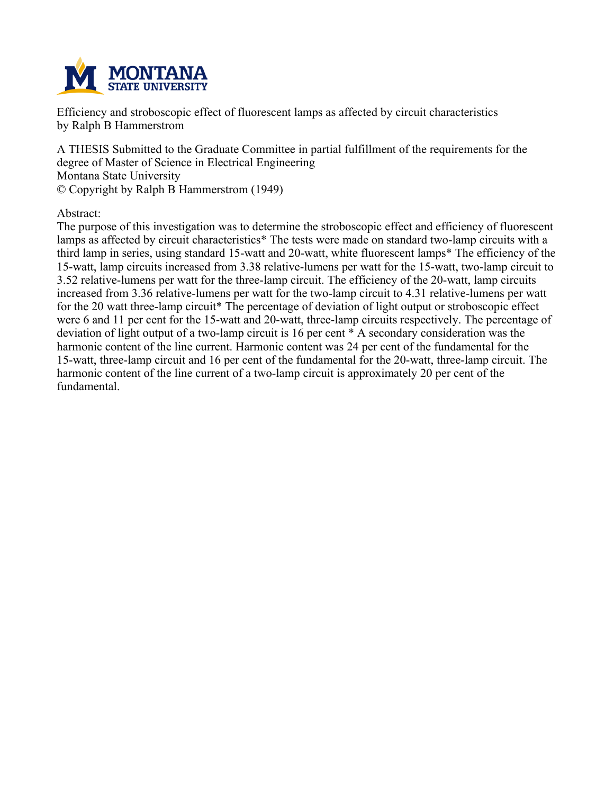

**Efficiency and stroboscopic effect of fluorescent lamps as affected by circuit characteristics by Ralph B Hammerstrom**

**A THESIS Submitted to the Graduate Committee in partial fulfillment of the requirements for the degree of Master of Science in Electrical Engineering Montana State University © Copyright by Ralph B Hammerstrom (1949)**

**Abstract:**

**The purpose of this investigation was to determine the stroboscopic effect and efficiency of fluorescent lamps as affected by circuit characteristics\* The tests were made on standard two-lamp circuits with a third lamp in series, using standard 15-watt and 20-watt, white fluorescent lamps\* The efficiency of the 15-watt, lamp circuits increased from 3.38 relative-lumens per watt for the 15-watt, two-lamp circuit to 3.52 relative-lumens per watt for the three-lamp circuit. The efficiency of the 20-watt, lamp circuits increased from 3.36 relative-lumens per watt for the two-lamp circuit to 4.31 relative-lumens per watt for the 20 watt three-lamp circuit\* The percentage of deviation of light output or stroboscopic effect were 6 and 11 per cent for the 15-watt and 20-watt, three-lamp circuits respectively. The percentage of deviation of light output of a two-lamp circuit is 16 per cent \* A secondary consideration was the harmonic content of the line current. Harmonic content was 24 per cent of the fundamental for the 15-watt, three-lamp circuit and 16 per cent of the fundamental for the 20-watt, three-lamp circuit. The harmonic content of the line current of a two-lamp circuit is approximately 20 per cent of the fundamental.**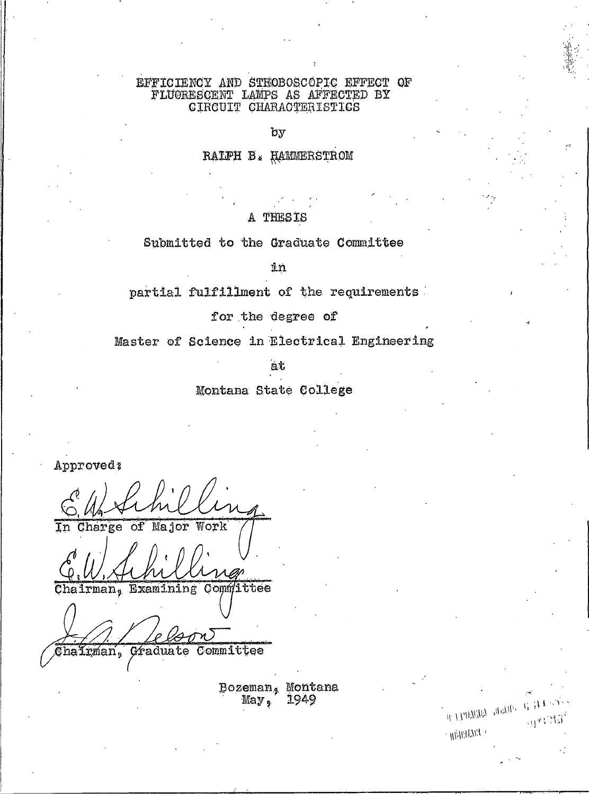### EFFICIENCY AND STROBOSCOPIC EFFECT OF FLUORESCENT LAMPS AS AFFROTED BY CIRCUIT CHARACTERISTICS

by

## RALPH B. HAMMERSTROM

### A THESIS

Submitted to the Graduate Committee

 $4n$ 

partial fulfillment of the requirements

for the degree of

Master of Science in Electrical Engineering

át

Montana State College

Approved:

Charge of Major Work

Chairman, Examining Committee

Trman, Graduate Committee

Bozeman, Montana  $May<sub>9</sub>$ 1949

\* G 31 Mala Milly y

 $+$   $mdeg_{H^+}$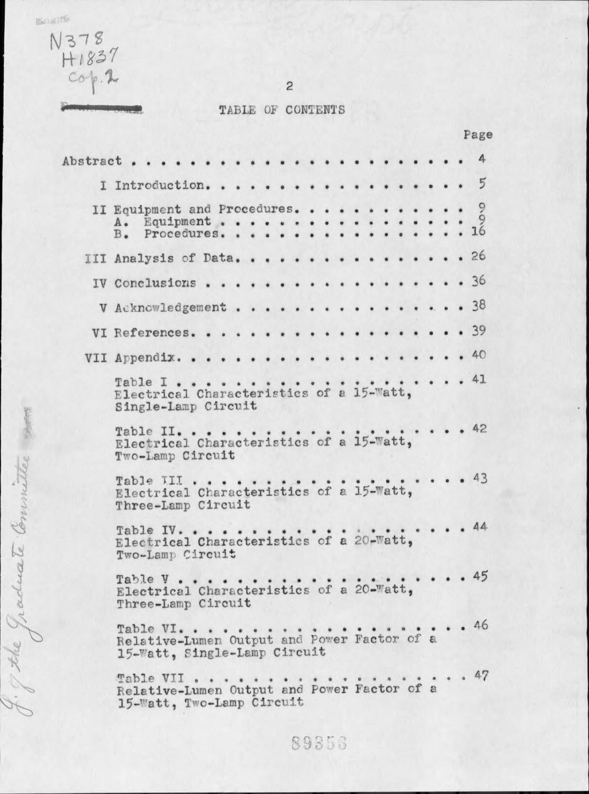BORING

The Graduate Committee som

 $5.6$ 



TABLE OF CONTENTS

 $\overline{c}$ 

|                                                                 |                                                                                          |  |  |  |  |  |  |  |  |  | rage                                     |
|-----------------------------------------------------------------|------------------------------------------------------------------------------------------|--|--|--|--|--|--|--|--|--|------------------------------------------|
|                                                                 |                                                                                          |  |  |  |  |  |  |  |  |  |                                          |
| I Introduction. 5                                               |                                                                                          |  |  |  |  |  |  |  |  |  |                                          |
| II Equipment and Procedures.                                    |                                                                                          |  |  |  |  |  |  |  |  |  |                                          |
| III Analysis of Data. 26                                        |                                                                                          |  |  |  |  |  |  |  |  |  |                                          |
|                                                                 |                                                                                          |  |  |  |  |  |  |  |  |  |                                          |
| V Acknowledgement 38                                            |                                                                                          |  |  |  |  |  |  |  |  |  |                                          |
| VI References. 39                                               |                                                                                          |  |  |  |  |  |  |  |  |  |                                          |
|                                                                 |                                                                                          |  |  |  |  |  |  |  |  |  |                                          |
| Electrical Characteristics of a 15-Watt,<br>Single-Lamp Circuit |                                                                                          |  |  |  |  |  |  |  |  |  |                                          |
| Two-Lamp Circuit                                                |                                                                                          |  |  |  |  |  |  |  |  |  | $\cdot \cdot \cdot \cdot \cdot \cdot 42$ |
| Three-Lamp Circuit                                              |                                                                                          |  |  |  |  |  |  |  |  |  | . 43                                     |
| Electrical Characteristics of a 20-Watt,                        | Table IV.<br>Two-Lamp Circuit                                                            |  |  |  |  |  |  |  |  |  | . 44                                     |
|                                                                 | Table V.<br>Electrical Characteristics of a 20-Watt,<br>Three-Lamp Circuit               |  |  |  |  |  |  |  |  |  | 45                                       |
|                                                                 | Table VI.<br>Relative-Lumen Output and Power Factor of a<br>15-Watt, Single-Lamp Circuit |  |  |  |  |  |  |  |  |  | . 46                                     |
| Table VII                                                       | Relative-Lumen Output and Power Factor of a<br>15-Watt, Two-Lamp Circuit                 |  |  |  |  |  |  |  |  |  | . 47                                     |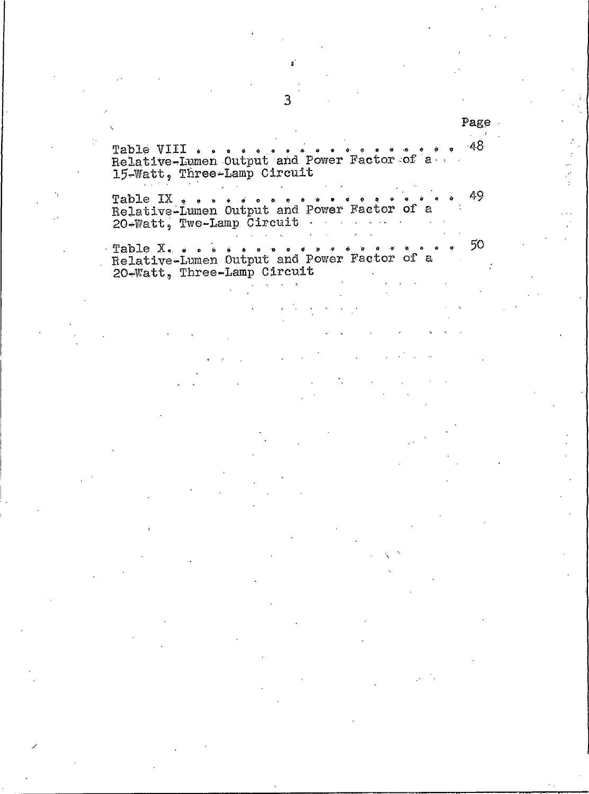$-48$ 15-Watt, Three-Lamp Circuit

49 20-Watt, Two-Lamp Circuit

50  $\bullet$ 20-Watt, Three-Lamp Circuit

Page  $\mathcal{L}$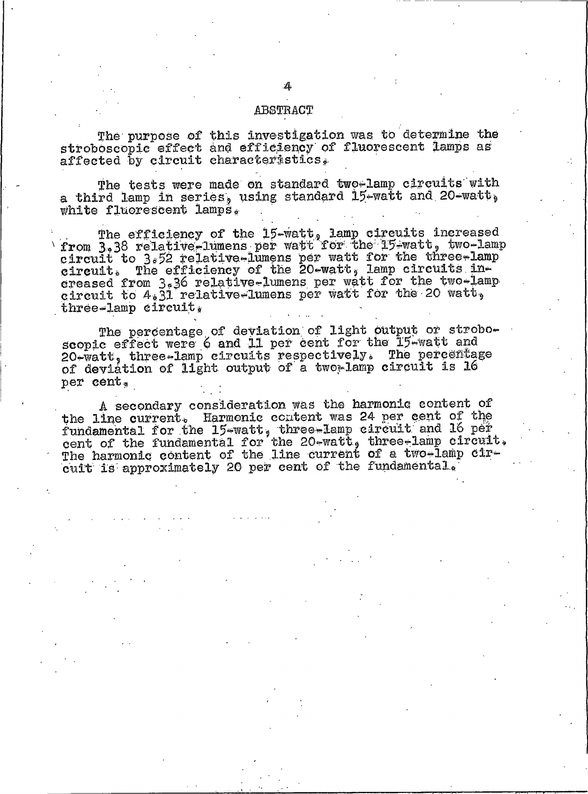### ABSTRACT

The purpose of this investigation was to determine the stroboscopic effect and efficiency of fluorescent lamps as affected by circuit characteristics.

The tests were made on standard two-lamp circuits with a third lamp in series, using standard 15-watt and 20-watt, white fluorescent lamps.

The efficiency of the 15-watt, lamp circuits increased<br>from 3.38 relative-lumens per watt for the 15-watt, two-lamp circuit to 3.52 relative-lumens per watt for the three-lamp<br>eircuit. The efficiency of the 20-watt, lamp circuits in-<br>ereased from 3.36 relative-lumens per watt for the two-lamp circuit to  $4.31$  relative-lumens per watt for the 20 watt. three-lamp circuit.

The percentage of deviation of light output or stroboscopic effect were 6 and 11 per cent for the 15-watt and 20-watt, three-lamp circuits respectively. The percentage of deviation of light output of a two-lamp circuit is 16 per cent.

A secondary consideration was the harmonic content of the line current. Harmonic content was 24 per cent of the fundamental for the 15-watt, three-lamp circuit and 16 per cent of the fundamental for the 20-watt, three-lamp circuit. The harmonic content of the line current of a two-lamp circuit is approximately 20 per cent of the fundamental.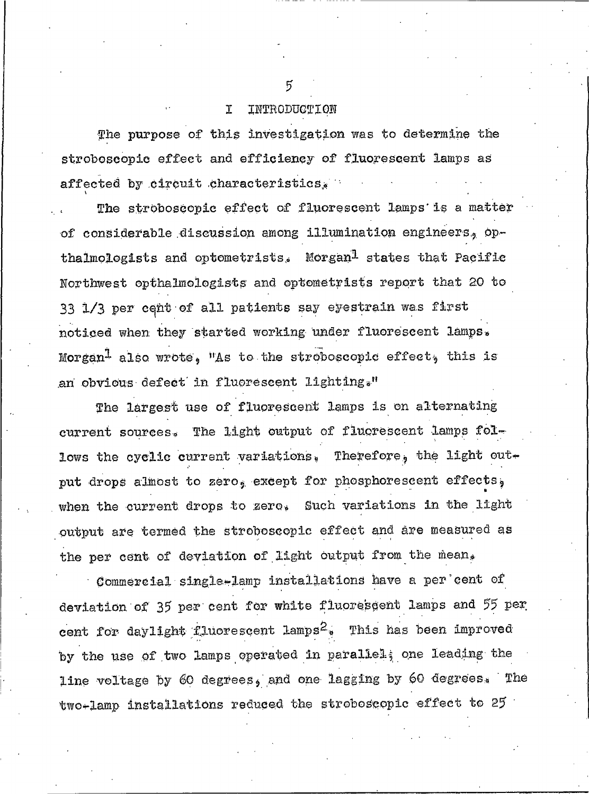#### I INTRODUCTION

The purpose of this investigation was to determine the stroboscopic effect and efficiency of fluorescent lamps as affected by circuit characteristics.

The stroboscopic effect of fluorescent lamps is a matter of considerable discussion among illumination engineers, opthalmologists and optometrists. Morgan<sup>1</sup> states that Pacific Northwest opthalmologists and optometrists report that 20 to 33 1/3 per cent of all patients say eyestrain was first noticed when they started working under fluorescent lamps. Morgan<sup>1</sup> also wrote. "As to the stroboscopic effect, this is an obvious defect in fluorescent lighting."

The largest use of fluorescent lamps is on alternating current sources. The light output of fluorescent lamps follows the cyclic current variations. Therefore, the light output drops almost to zero, except for phosphorescent effects, when the current drops to zero. Such variations in the light output are termed the stroboscopic effect and are measured as the per cent of deviation of light output from the mean.

Commercial single-lamp installations have a per cent of deviation of 35 per cent for white fluorescent lamps and 55 per cent for daylight fluorescent lamps<sup>2</sup>. This has been improved by the use of two lamps operated in paraliel; one leading the line voltage by 60 degrees, and one lagging by 60 degrees. The two-lamp installations reduced the stroboscopic effect to 25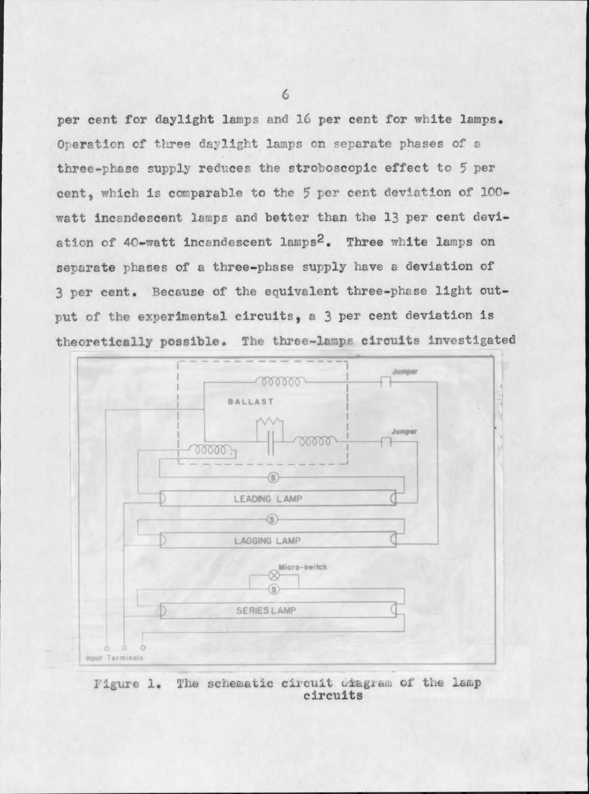per cent for daylight lamps and 16 per cent for white lamps. Operation of three daylight lamps on separate phases of a three-phase supply reduces the stroboscopic effect to 5 per cent, which is comparable to the 5 per cent deviation of 100watt incandescent lamps and better than the 13 per cent deviation of 40-watt incandescent lamps<sup>2</sup>. Three white lamps on separate phases of a three-phase supply have a deviation of 3 per cent. Because of the equivalent three-phase light output of the experimental circuits, a 3 per cent deviation is theoretically possible. The three-lamps circuits investigated



Figure 1. The schematic circuit diagram of the lamp circuits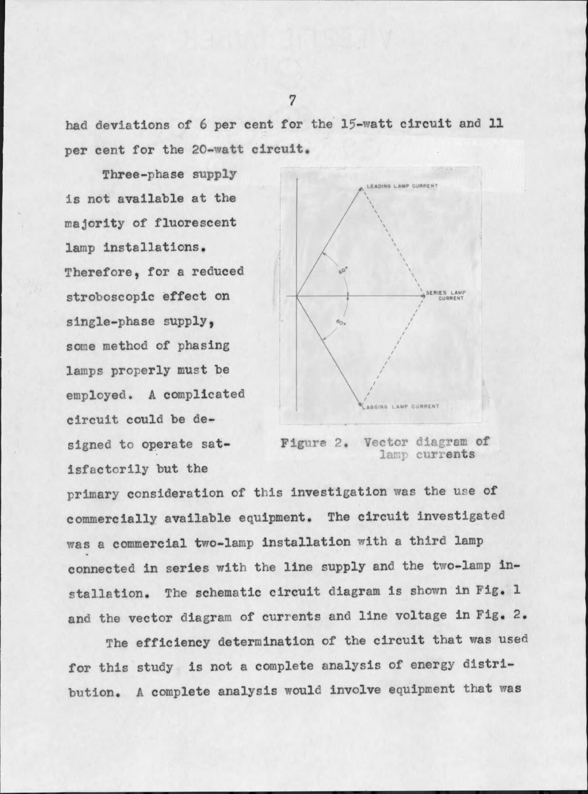had deviations of 6 per cent for the 15-watt circuit and 11 per cent for the 20-watt circuit.

Three-phase supply is not available at the majority of fluorescent lamp installations. Therefore, for a reduced stroboscopic effect on single-phase supply, some method of phasing lamps properly must be employed. A complicated circuit could be designed to operate satisfactorily but the



Figure 2. Vector diagram of lamp currents

primary consideration of this investigation was the use of commercially available equipment. The circuit investigated was a commercial two-lamp installation with a third lamp connected in series with the line supply and the two-lamp installation. The schematic circuit diagram is shown in Fig. 1 and the vector diagram of currents and line voltage in Fig. 2.

The efficiency determination of the circuit that was used for this study is not a complete analysis of energy distribution. A complete analysis would involve equipment that was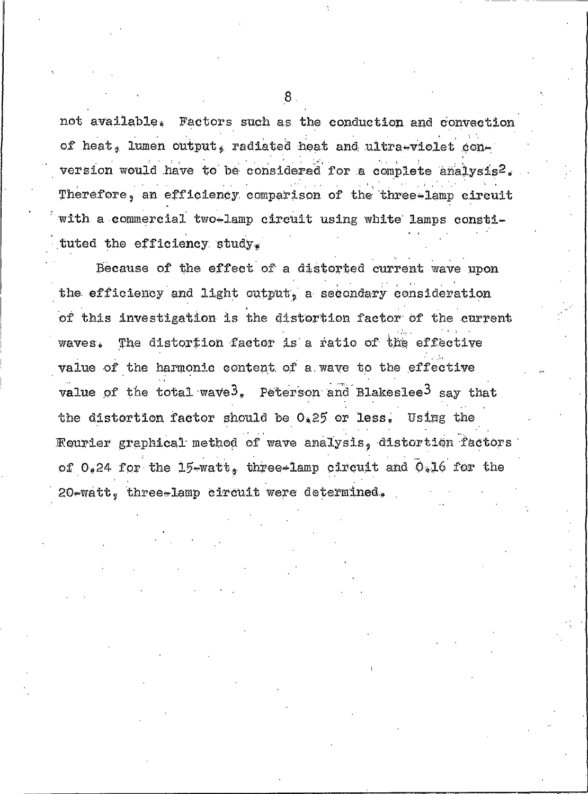not available. Factors such as the conduction and convection of heat, lumen output, radiated heat and ultra-violet conversion would have to be considered for a complete analysis<sup>2</sup>. Therefore, an efficiency comparison of the three-lamp circuit with a commercial two-lamp circuit using white lamps constituted the efficiency study.

Because of the effect of a distorted current wave upon the efficiency and light output, a secondary consideration of this investigation is the distortion factor of the current The distortion factor is a ratio of the effective **Waves.** value of the harmonic content of a wave to the effective value of the total wave<sup>3</sup>, Peterson and Blakeslee<sup>3</sup> say that the distortion factor should be  $0.25$  or less. Using the Fourier graphical method of wave analysis, distortion factors of 0.24 for the 15-watt, three-lamp circuit and 0.16 for the 20-watt, three-lamp circuit were determined.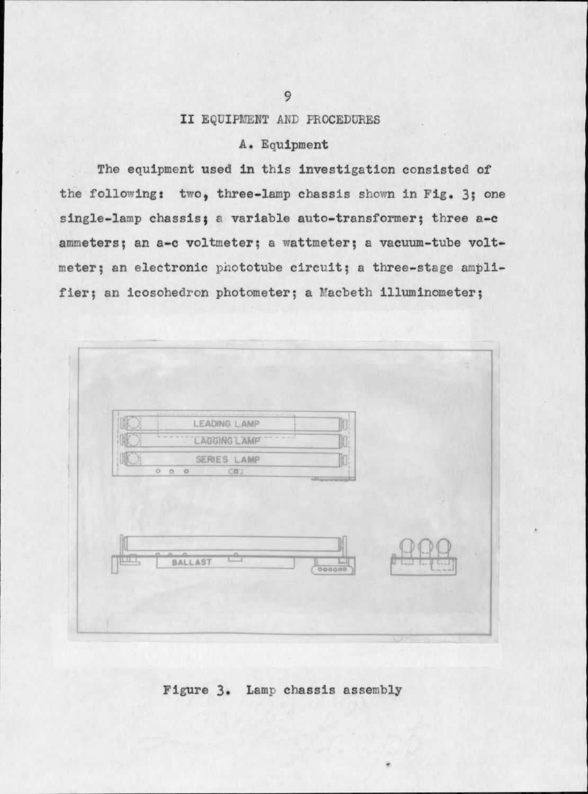# II EQUIPMENT AND PROCEDURES

# A. Equipment

The equipment used in this investigation consisted of the following: two, three-lamp chassis shown in Fig. 3; one single-lamp chassis; a variable auto-transformer; three a-c ammeters; an a-c voltmeter; a wattmeter; a vacuum-tube voltmeter; an electronic phototube circuit; a three-stage amplifier; an icosohedron photometer; a Macbeth illuminometer;

| INK | LEADING LAMP              | m |  |
|-----|---------------------------|---|--|
|     | <b>LAGGING LAMP</b>       | H |  |
|     | SERIES LAMP<br>000<br>COL | M |  |
|     | n n n<br>å                |   |  |

# Figure 3. Lamp chassis assembly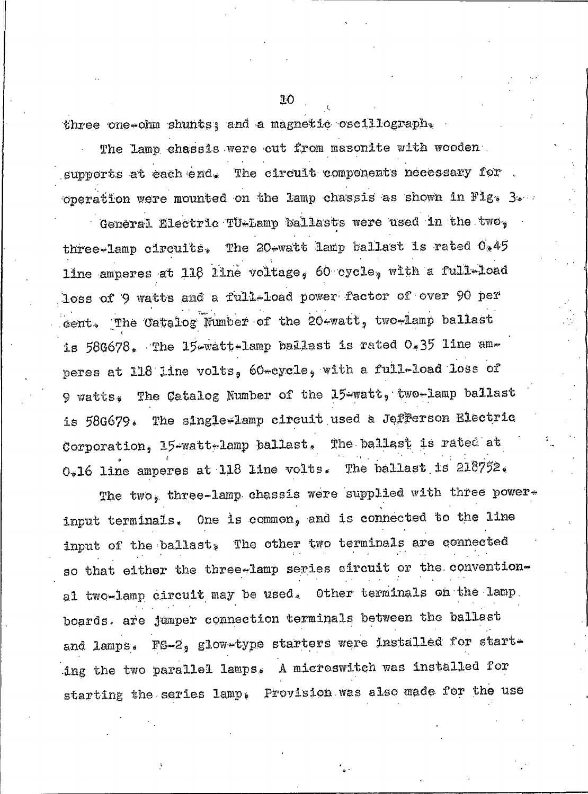three one-ohm shunts; and a magnetic oscillograph.

The lamp chassis were cut from masonite with wooden. supports at each end. The circuit components necessary for operation were mounted on the lamp chassis as shown in Fig. 3.

General Electric TU-Lamp ballasts were used in the two. three-lamp circuits, The 20-watt lamp ballast is rated 0.45 line amperes at 118 line voltage, 60 cycle, with a full-load loss of 9 watts and a full-load power factor of over 90 per cent. The Catalog Number of the 20-watt, two-lamp ballast is 580678. The 15-watt-lamp ballast is rated 0.35 line amperes at 118 line volts, 60-cycle, with a full-load loss of 9 watts. The Catalog Number of the 15-watt, two-lamp ballast is 58G679. The single-lamp circuit used a Jefferson Electric Corporation, 15-watt-lamp ballast. The ballast is rated at 0.16 line amperes at 118 line volts. The ballast is 218752.

The two, three-lamp chassis were supplied with three powerinput terminals. One is common, and is connected to the line input of the ballast, The other two terminals are connected so that either the three-lamp series eircuit or the conventional two-lamp circuit may be used. Other terminals on the lamp. boards. are jumper connection terminals between the ballast and lamps. FS-2, glow-type starters were installed for starting the two parallel lamps. A microswitch was installed for starting the series lamp. Provision was also made for the use

ΊO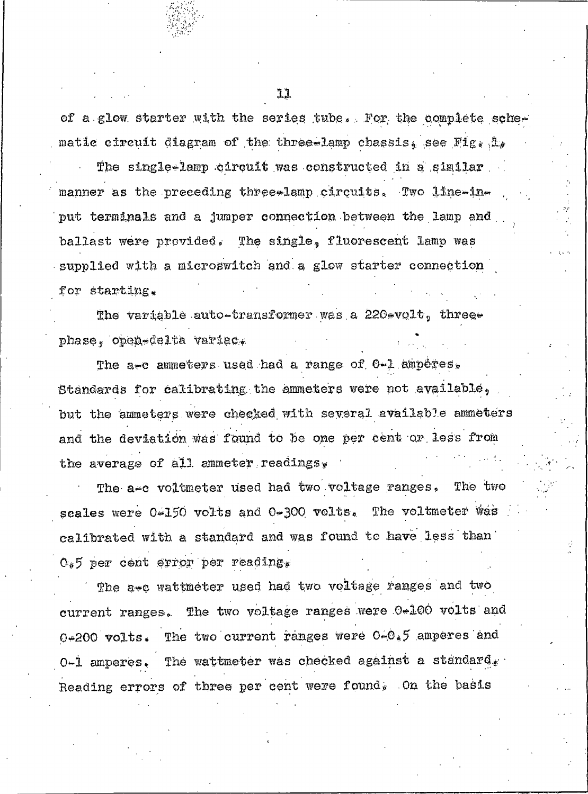of a glow starter with the series tube. For the complete schematic circuit diagram of the three-lamp chassis. see Fig. i.

The single-lamp circuit was constructed in a similar manner as the preceding three-lamp circuits. Two line-input terminals and a jumper connection between the lamp and ballast were provided. The single, fluorescent lamp was supplied with a microswitch and a glow starter connection for starting.

The variable auto-transformer was a 220-volt, threephase, open-delta variac.

The a-c ammeters used had a range of 0-1 amperes. Standards for calibrating the ammeters were not available. but the ammeters were checked with several available ammeters and the deviation was found to be one per cent or less from the average of all ammeter readings,

The a-c voltmeter used had two voltage ranges. The two scales were 0-150 volts and 0-300 volts. The voltmeter was calibrated with a standard and was found to have less than  $0.5$  per cent error per reading.

The awe wattmeter used had two voltage ranges and two current ranges. The two voltage ranges were 0-100 volts and The two current ranges were  $0-0.5$  amperes and  $0*200$   $volts.$ O-1 amperes. The wattmeter was checked against a standard. Reading errors of three per cent were found. On the basis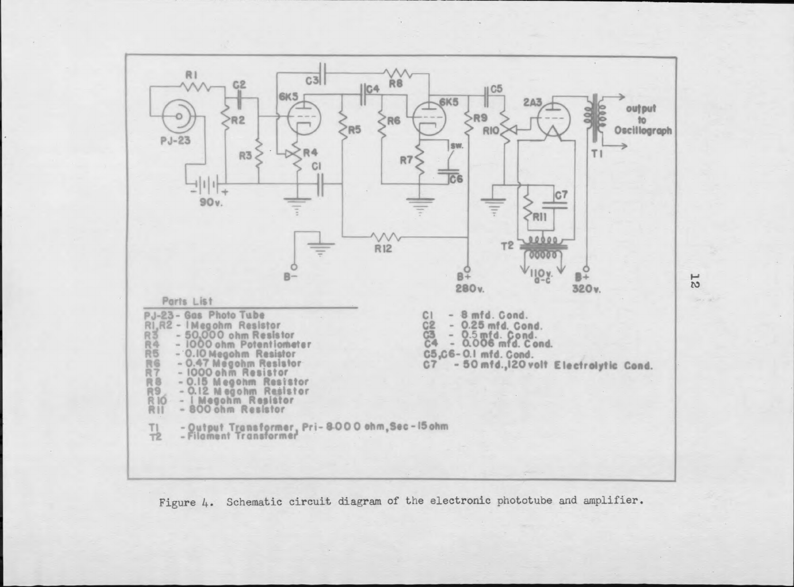

Figure 4. Schematic circuit diagram of the electronic phototube and amplifier.

 $\frac{1}{2}$ 

 $\label{eq:2.1} \left\langle \omega_{\rm{eff}} \right\rangle_{\rm{eff}}$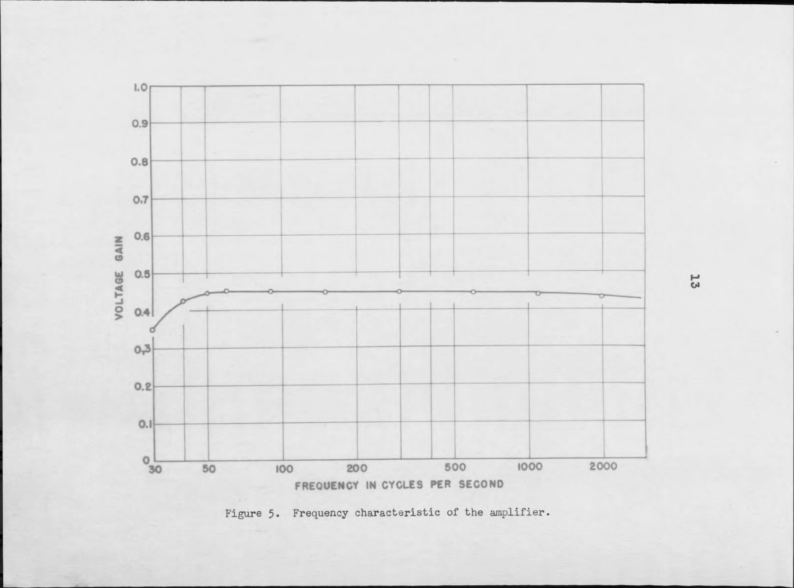

Figure 5. Frequency characteristic of the amplifier.